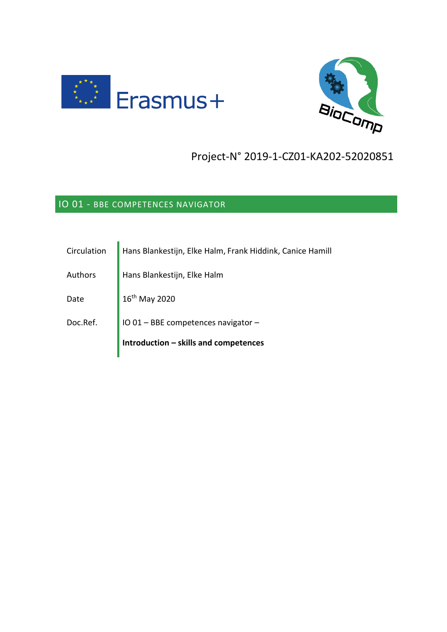



# Project-N° 2019-1-CZ01-KA202-52020851

# IO 01 - BBE COMPETENCES NAVIGATOR

| Circulation | Hans Blankestijn, Elke Halm, Frank Hiddink, Canice Hamill |
|-------------|-----------------------------------------------------------|
| Authors     | Hans Blankestijn, Elke Halm                               |
| Date        | 16th May 2020                                             |
| Doc.Ref.    | IO 01 - BBE competences navigator -                       |
|             | Introduction - skills and competences                     |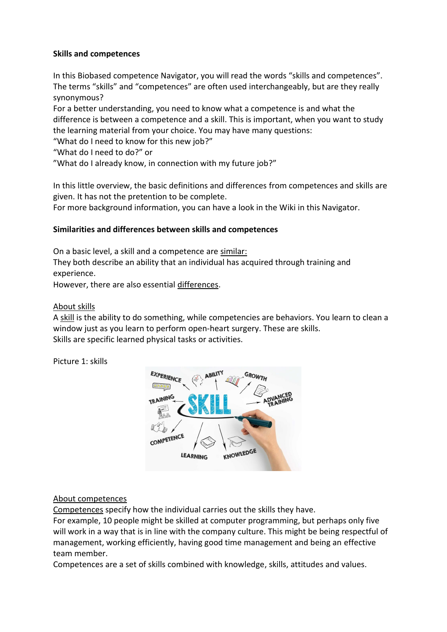## **Skills and competences**

In this Biobased competence Navigator, you will read the words "skills and competences". The terms "skills" and "competences" are often used interchangeably, but are they really synonymous?

For a better understanding, you need to know what a competence is and what the difference is between a competence and a skill. This is important, when you want to study the learning material from your choice. You may have many questions:

"What do I need to know for this new job?"

"What do I need to do?" or

"What do I already know, in connection with my future job?"

In this little overview, the basic definitions and differences from competences and skills are given. It has not the pretention to be complete.

For more background information, you can have a look in the Wiki in this Navigator.

## **Similarities and differences between skills and competences**

On a basic level, a skill and a competence are similar:

They both describe an ability that an individual has acquired through training and experience.

However, there are also essential differences.

## About skills

A skill is the ability to do something, while competencies are behaviors. You learn to clean a window just as you learn to perform open-heart surgery. These are skills. Skills are specific learned physical tasks or activities.

Picture 1: skills



#### About competences

Competences specify how the individual carries out the skills they have.

For example, 10 people might be skilled at computer programming, but perhaps only five will work in a way that is in line with the company culture. This might be being respectful of management, working efficiently, having good time management and being an effective team member.

Competences are a set of skills combined with knowledge, skills, attitudes and values.